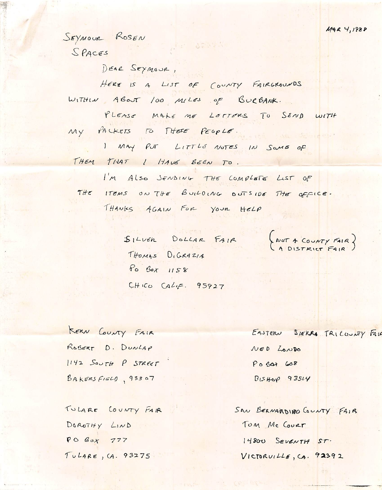MAR 4, 1988

SEYMOUR ROSEN  $SPACES$ 

DEAR SEYMOUR,

HERE IS A LIST OF COUNTY FAIRGROUNDS WITHIN ABOUT 100 MILES OF BURBANK.

PLEASE MAKE ME LETTERS TO SEND WITH MY PACKETS TO THESE PEOPLE.

ar agawan

I MAY PUT LITTLE NOTES IN SOME OF THEM THAT I HAVE BEEN TO.

I'M Also JENDING THE COMPLETE LIST OF THE ITEMS ON THE BUILDING DUTSIDE THE OFFICE. THANKS AGAIN FOR YOUR HELP

> SILVER DOLLAR FAIR THOMAS DIGRAZIA Po Box 1158  $CHICO CALE. 95927$

(NOT A COUNTY FAIR)

KERN COUNTY FAIR ROBERT D. DUNLAP 1142 SOUTH P STREET BAKERSFIGLO, 93307

TULARE COUNTY FAIR DOROTHY LIND  $POBoX 777$ TULARE, (A. 93275

EASTERN SIERRO TRICOUNTY FALK NED LONDO Po BOX 608 BISHOP 93514

SAN BERNARDINO COUNTY FAIR TOM MC COURT 14800 SEVENTH ST. VICTORUILLE, CA. 92392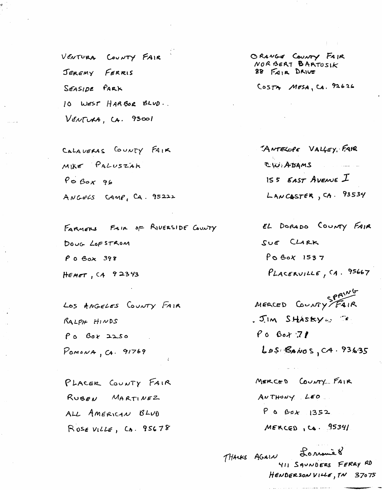VENTURA COUNTY FAIR JEREMY FERRIS SEASIDE PARK 10 WEST HARBOR BLUD. VENTURA, CA. 93001

CALAVERAS COUNTY FAIR MIKE PALUSZAK  $P \circ B \circ x$  96 ANGELS CAMP, CA. 95222

FARMERS FAIR OF RIVERSIDE COUNTY DOUG LOFSTROM  $P$  0  $\beta$  ox 398 HEMET,  $C4$  92343

LOS ANGELES COUNTY FAIR  $RALPH$   $H1NDS$ Po Box 2250  $Pomova, Ca. 91769$ 

PLACER COUNTY FAIR RUBEN MARTINEZ ALL AMERICAN BLUD ROSEVILLE, CA. 95678

ORANGE COUNTY FAIR NORBERT BARTOSIK 88 FAIR DRIVE

COSTA MESA, CA. 92626

"ANTELOPE VALLEY, FAR CW: ADAMS  $155$  EAST AVENUE  $I$  $L$ ANCASTER, CA. 93534

EL DORADO COUNTY FAIR SUE CLARK PO BOX 1537  $PLACERVILLE, CA. 95667$ 

MERCED COUNTY FAIR JIM SHASKYW TO  $P_0$   $604$   $71$  $L_{0.5}$   $S_{A}$ NOS,  $C_{4}$ . 93635

MERCED COUNTY FAIR ANTHONY LEO  $P$  0 Box 1352  $MERCCD, CA. 95341$ 

THANKS AGAIN LONOMEY 411 SAUNDERS FERRY RD HENDERSONVILLE, TN 37075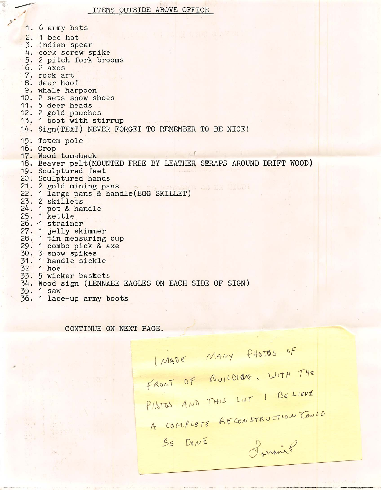1. 6 army hats  $2. 1$  bee hat 3. indian spear 4. cork screw spike 5. 2 pitch fork brooms b. *2* axes 7. rock art 8. deer hoof 9. whale harpoon 10. 2 sets snow shoes 11. 5 deer heads 12. 2 gold pouches 13. 1 boot with stirrup 14. Sign(TEXT) NEVER FORGET TO REMEMBER TO BE NICE! 15. Totem pole 16. Crop 17. Wood tomahack 18. Beaver pelt(MOUNTED FREE BY LEATHER 3ERAPS AROUND DRIFT VOOD) 19. Sculptured feet 20. Sculptured hands 21. 2 gold mining pans 22. 1 large pans & handle(EGG SKILLET) 23. 2 skillets 24. 1 pot & handle 25. 1 **kettle** 26. 1 strainer 27. 1 jelly skimmer 28. 1 tin measuring cup 29. 1 combo pick & axe 30. 3 snow spikes 31. 1 handle sickle  $26$  1 hoe 33. 5 wicker baskets 34. Wood sign (LENNAEE EAGLES ON EACH SIDE OF SIGN) 35. 1 saw 36. 1 lace-up army boots

CONTINUE ON NEXT PAGE.

I MADE MANY PHOTOS OF FRONT OF BUILDING. WITH THE PHOTOS AND THIS LIST I BELIEVE A COMPLETE RECONSTRUCTION COULD  $BE$   $DoN$  $E$ Lonairo